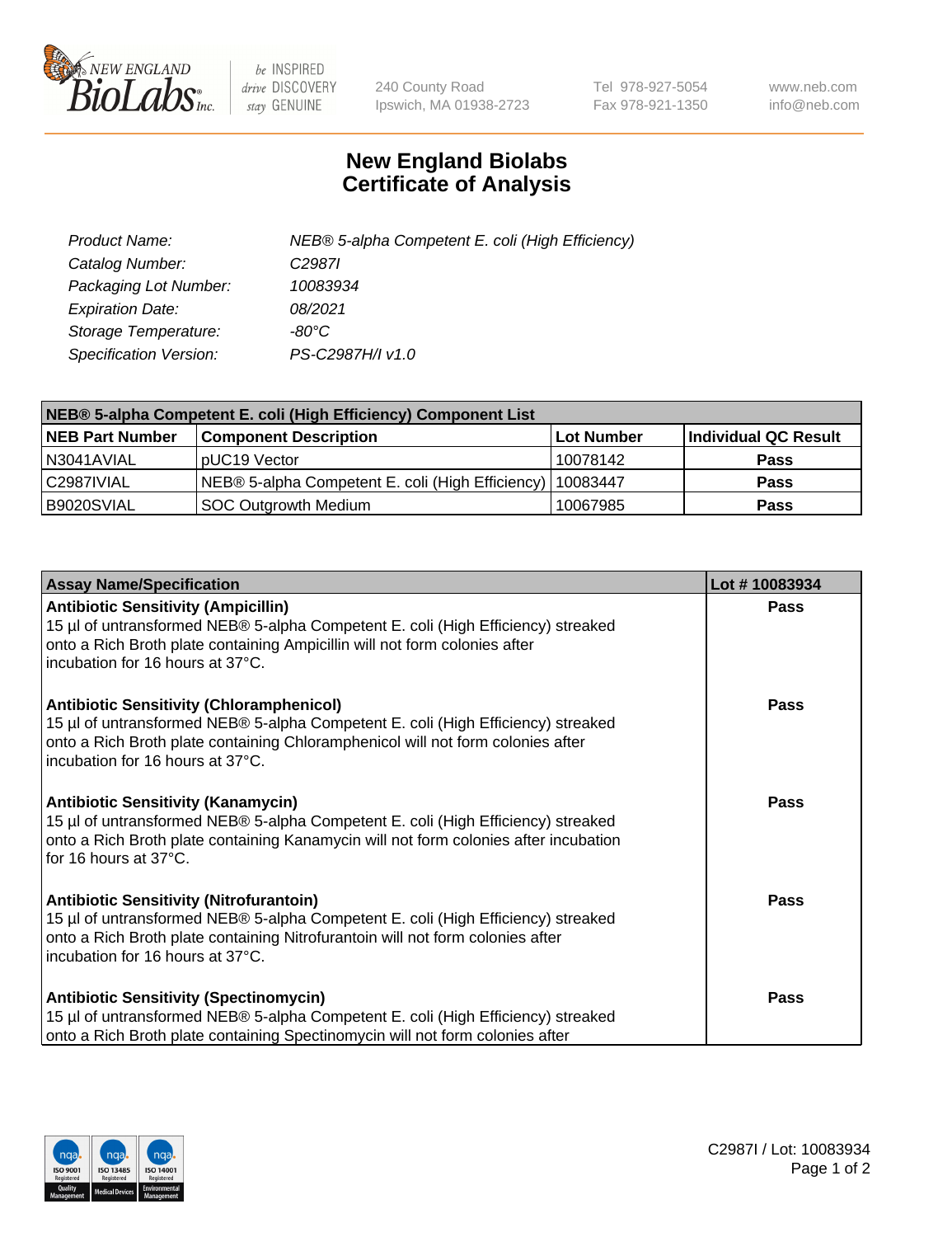

 $be$  INSPIRED drive DISCOVERY stay GENUINE

240 County Road Ipswich, MA 01938-2723 Tel 978-927-5054 Fax 978-921-1350 www.neb.com info@neb.com

## **New England Biolabs Certificate of Analysis**

| Product Name:           | NEB® 5-alpha Competent E. coli (High Efficiency) |
|-------------------------|--------------------------------------------------|
| Catalog Number:         | C <sub>2987</sub>                                |
| Packaging Lot Number:   | 10083934                                         |
| <b>Expiration Date:</b> | 08/2021                                          |
| Storage Temperature:    | -80°C                                            |
| Specification Version:  | PS-C2987H/I v1.0                                 |

| NEB® 5-alpha Competent E. coli (High Efficiency) Component List |                                                  |                   |                      |  |
|-----------------------------------------------------------------|--------------------------------------------------|-------------------|----------------------|--|
| <b>NEB Part Number</b>                                          | <b>Component Description</b>                     | <b>Lot Number</b> | Individual QC Result |  |
| N3041AVIAL                                                      | pUC19 Vector                                     | 10078142          | <b>Pass</b>          |  |
| C2987IVIAL                                                      | NEB® 5-alpha Competent E. coli (High Efficiency) | 10083447          | <b>Pass</b>          |  |
| B9020SVIAL                                                      | <b>SOC Outgrowth Medium</b>                      | 10067985          | <b>Pass</b>          |  |

| <b>Assay Name/Specification</b>                                                                                                                                                                                                                            | Lot #10083934 |
|------------------------------------------------------------------------------------------------------------------------------------------------------------------------------------------------------------------------------------------------------------|---------------|
| <b>Antibiotic Sensitivity (Ampicillin)</b><br>15 µl of untransformed NEB® 5-alpha Competent E. coli (High Efficiency) streaked<br>onto a Rich Broth plate containing Ampicillin will not form colonies after<br>incubation for 16 hours at 37°C.           | Pass          |
| <b>Antibiotic Sensitivity (Chloramphenicol)</b><br>15 µl of untransformed NEB® 5-alpha Competent E. coli (High Efficiency) streaked<br>onto a Rich Broth plate containing Chloramphenicol will not form colonies after<br>incubation for 16 hours at 37°C. | Pass          |
| <b>Antibiotic Sensitivity (Kanamycin)</b><br>15 µl of untransformed NEB® 5-alpha Competent E. coli (High Efficiency) streaked<br>onto a Rich Broth plate containing Kanamycin will not form colonies after incubation<br>for 16 hours at 37°C.             | Pass          |
| <b>Antibiotic Sensitivity (Nitrofurantoin)</b><br>15 µl of untransformed NEB® 5-alpha Competent E. coli (High Efficiency) streaked<br>onto a Rich Broth plate containing Nitrofurantoin will not form colonies after<br>incubation for 16 hours at 37°C.   | <b>Pass</b>   |
| <b>Antibiotic Sensitivity (Spectinomycin)</b><br>15 µl of untransformed NEB® 5-alpha Competent E. coli (High Efficiency) streaked<br>onto a Rich Broth plate containing Spectinomycin will not form colonies after                                         | Pass          |